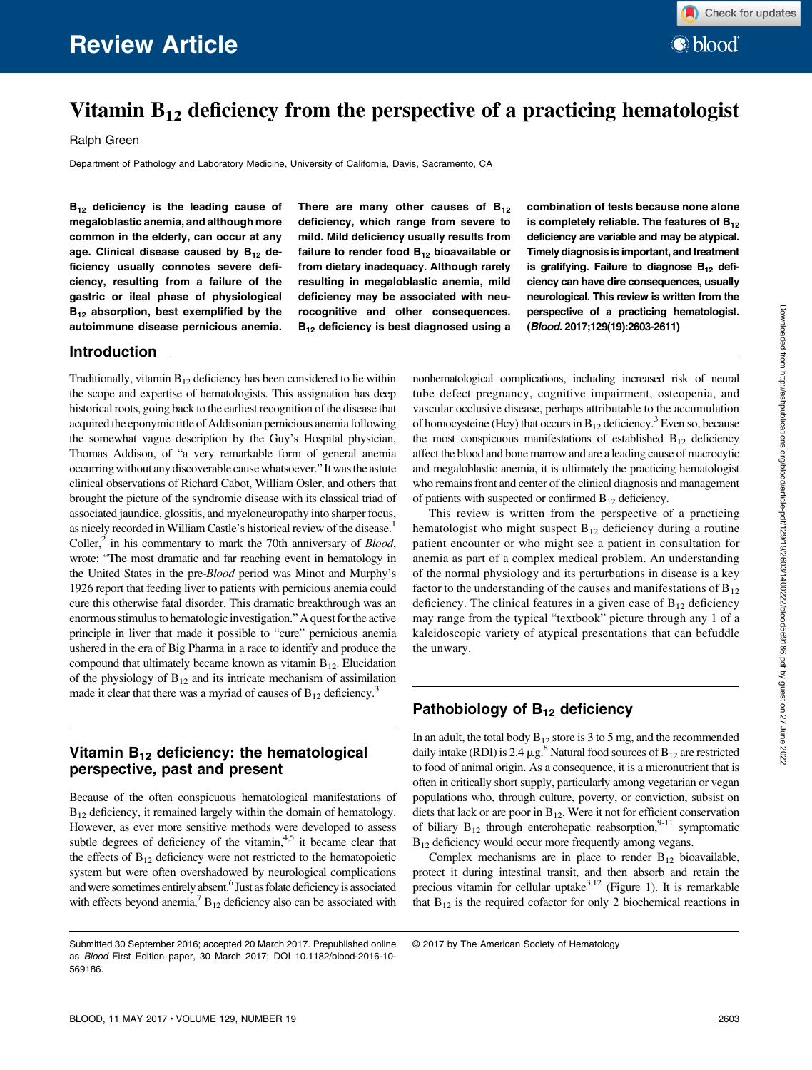# Vitamin  $B_{12}$  deficiency from the perspective of a practicing hematologist

Ralph Green

Department of Pathology and Laboratory Medicine, University of California, Davis, Sacramento, CA

 $B_{12}$  deficiency is the leading cause of megaloblastic anemia, and although more common in the elderly, can occur at any age. Clinical disease caused by  $B_{12}$  deficiency usually connotes severe deficiency, resulting from a failure of the gastric or ileal phase of physiological  $B_{12}$  absorption, best exemplified by the autoimmune disease pernicious anemia. There are many other causes of  $B_{12}$ deficiency, which range from severe to mild. Mild deficiency usually results from failure to render food  $B_{12}$  bioavailable or from dietary inadequacy. Although rarely resulting in megaloblastic anemia, mild deficiency may be associated with neurocognitive and other consequences. B<sub>12</sub> deficiency is best diagnosed using a

combination of tests because none alone is completely reliable. The features of  $B_{12}$ deficiency are variable and may be atypical. Timely diagnosis is important, and treatment is gratifying. Failure to diagnose  $B_{12}$  deficiency can have dire consequences, usually neurological. This review is written from the perspective of a practicing hematologist. (Blood. 2017;129(19):2603-2611)

# Introduction

Traditionally, vitamin  $B_{12}$  deficiency has been considered to lie within the scope and expertise of hematologists. This assignation has deep historical roots, going back to the earliest recognition of the disease that acquired the eponymic title of Addisonian pernicious anemia following the somewhat vague description by the Guy's Hospital physician, Thomas Addison, of "a very remarkable form of general anemia occurring without any discoverable cause whatsoever." It was the astute clinical observations of Richard Cabot, William Osler, and others that brought the picture of the syndromic disease with its classical triad of associated jaundice, glossitis, and myeloneuropathy into sharper focus, as nicely recorded in William Castle's historical review of the disease.<sup>1</sup> Coller, $^2$  in his commentary to mark the 70th anniversary of *Blood*, wrote: "The most dramatic and far reaching event in hematology in the United States in the pre-Blood period was Minot and Murphy's 1926 report that feeding liver to patients with pernicious anemia could cure this otherwise fatal disorder. This dramatic breakthrough was an enormous stimulus to hematologic investigation." A quest for the active principle in liver that made it possible to "cure" pernicious anemia ushered in the era of Big Pharma in a race to identify and produce the compound that ultimately became known as vitamin  $B_{12}$ . Elucidation of the physiology of  $B_{12}$  and its intricate mechanism of assimilation made it clear that there was a myriad of causes of  $B_{12}$  deficiency.<sup>3</sup>

# Vitamin  $B_{12}$  deficiency: the hematological perspective, past and present

Because of the often conspicuous hematological manifestations of  $B_{12}$  deficiency, it remained largely within the domain of hematology. However, as ever more sensitive methods were developed to assess subtle degrees of deficiency of the vitamin,  $4.5$  it became clear that the effects of  $B_{12}$  deficiency were not restricted to the hematopoietic system but were often overshadowed by neurological complications and were sometimes entirely absent.<sup>6</sup> Just as folate deficiency is associated with effects beyond anemia,<sup>7</sup>  $B_{12}$  deficiency also can be associated with nonhematological complications, including increased risk of neural tube defect pregnancy, cognitive impairment, osteopenia, and vascular occlusive disease, perhaps attributable to the accumulation of homocysteine (Hcy) that occurs in  $B_{12}$  deficiency.<sup>3</sup> Even so, because the most conspicuous manifestations of established  $B_{12}$  deficiency affect the blood and bone marrow and are a leading cause of macrocytic and megaloblastic anemia, it is ultimately the practicing hematologist who remains front and center of the clinical diagnosis and management of patients with suspected or confirmed  $B_{12}$  deficiency.

This review is written from the perspective of a practicing hematologist who might suspect  $B_{12}$  deficiency during a routine patient encounter or who might see a patient in consultation for anemia as part of a complex medical problem. An understanding of the normal physiology and its perturbations in disease is a key factor to the understanding of the causes and manifestations of  $B_{12}$ deficiency. The clinical features in a given case of  $B_{12}$  deficiency may range from the typical "textbook" picture through any 1 of a kaleidoscopic variety of atypical presentations that can befuddle the unwary.

# Pathobiology of  $B_{12}$  deficiency

In an adult, the total body  $B_{12}$  store is 3 to 5 mg, and the recommended daily intake (RDI) is 2.4  $\mu$ g.<sup>8</sup> Natural food sources of B<sub>12</sub> are restricted to food of animal origin. As a consequence, it is a micronutrient that is often in critically short supply, particularly among vegetarian or vegan populations who, through culture, poverty, or conviction, subsist on diets that lack or are poor in  $B_{12}$ . Were it not for efficient conservation of biliary  $B_{12}$  through enterohepatic reabsorption,<sup>9-11</sup> symptomatic B<sub>12</sub> deficiency would occur more frequently among vegans.

Complex mechanisms are in place to render  $B_{12}$  bioavailable, protect it during intestinal transit, and then absorb and retain the precious vitamin for cellular uptake<sup>3,12</sup> (Figure 1). It is remarkable that  $B_{12}$  is the required cofactor for only 2 biochemical reactions in

© 2017 by The American Society of Hematology

Submitted 30 September 2016; accepted 20 March 2017. Prepublished online as Blood First Edition paper, 30 March 2017; DOI 10.1182/blood-2016-10- 569186.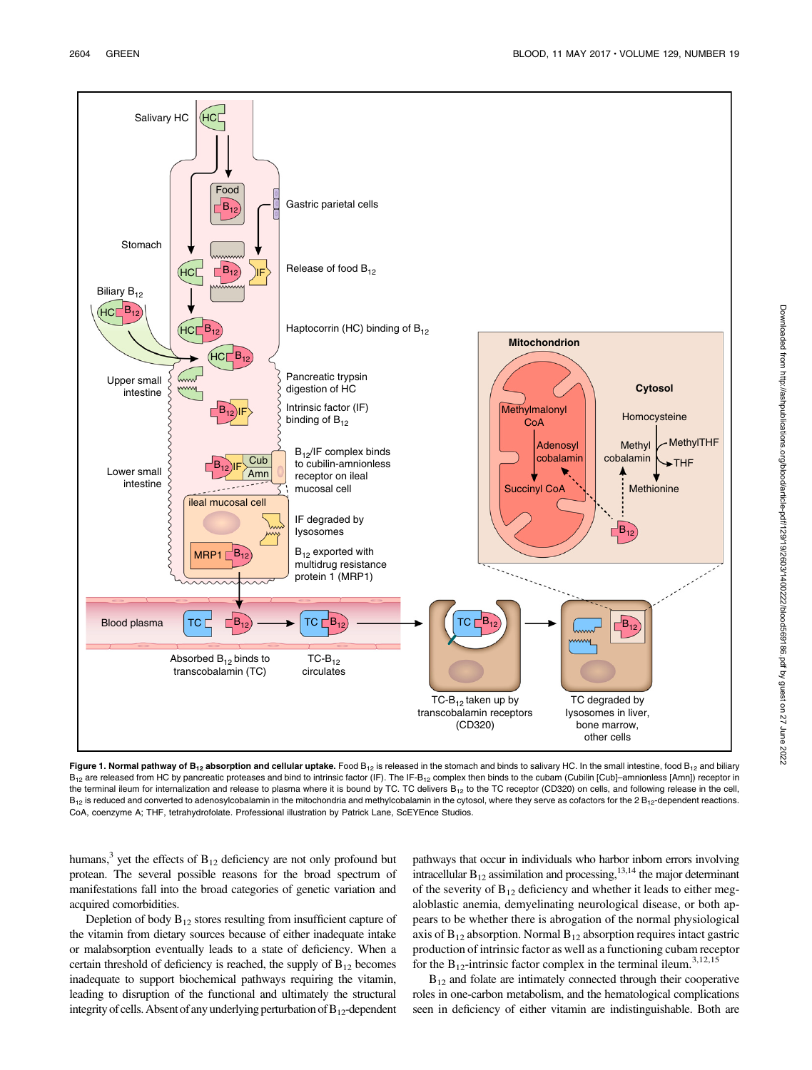

Figure 1. Normal pathway of B<sub>12</sub> absorption and cellular uptake. Food B<sub>12</sub> is released in the stomach and binds to salivary HC. In the small intestine, food B<sub>12</sub> and biliary  $B_{12}$  are released from HC by pancreatic proteases and bind to intrinsic factor (IF). The IF-B<sub>12</sub> complex then binds to the cubam (Cubilin [Cub]–amnionless [Amn]) receptor in the terminal ileum for internalization and release to plasma where it is bound by TC. TC delivers  $B_{12}$  to the TC receptor (CD320) on cells, and following release in the cell,  $B_{12}$  is reduced and converted to adenosylcobalamin in the mitochondria and methylcobalamin in the cytosol, where they serve as cofactors for the 2 B<sub>12</sub>-dependent reactions. CoA, coenzyme A; THF, tetrahydrofolate. Professional illustration by Patrick Lane, ScEYEnce Studios.

humans,<sup>3</sup> yet the effects of  $B_{12}$  deficiency are not only profound but protean. The several possible reasons for the broad spectrum of manifestations fall into the broad categories of genetic variation and acquired comorbidities.

Depletion of body  $B_{12}$  stores resulting from insufficient capture of the vitamin from dietary sources because of either inadequate intake or malabsorption eventually leads to a state of deficiency. When a certain threshold of deficiency is reached, the supply of  $B_{12}$  becomes inadequate to support biochemical pathways requiring the vitamin, leading to disruption of the functional and ultimately the structural integrity of cells. Absent of any underlying perturbation of  $B_{12}$ -dependent

pathways that occur in individuals who harbor inborn errors involving intracellular  $B_{12}$  assimilation and processing,<sup>13,14</sup> the major determinant of the severity of  $B_{12}$  deficiency and whether it leads to either megaloblastic anemia, demyelinating neurological disease, or both appears to be whether there is abrogation of the normal physiological axis of  $B_{12}$  absorption. Normal  $B_{12}$  absorption requires intact gastric production of intrinsic factor as well as a functioning cubam receptor for the  $B_{12}$ -intrinsic factor complex in the terminal ileum.<sup>3,12,15</sup>

 $B_{12}$  and folate are intimately connected through their cooperative roles in one-carbon metabolism, and the hematological complications seen in deficiency of either vitamin are indistinguishable. Both are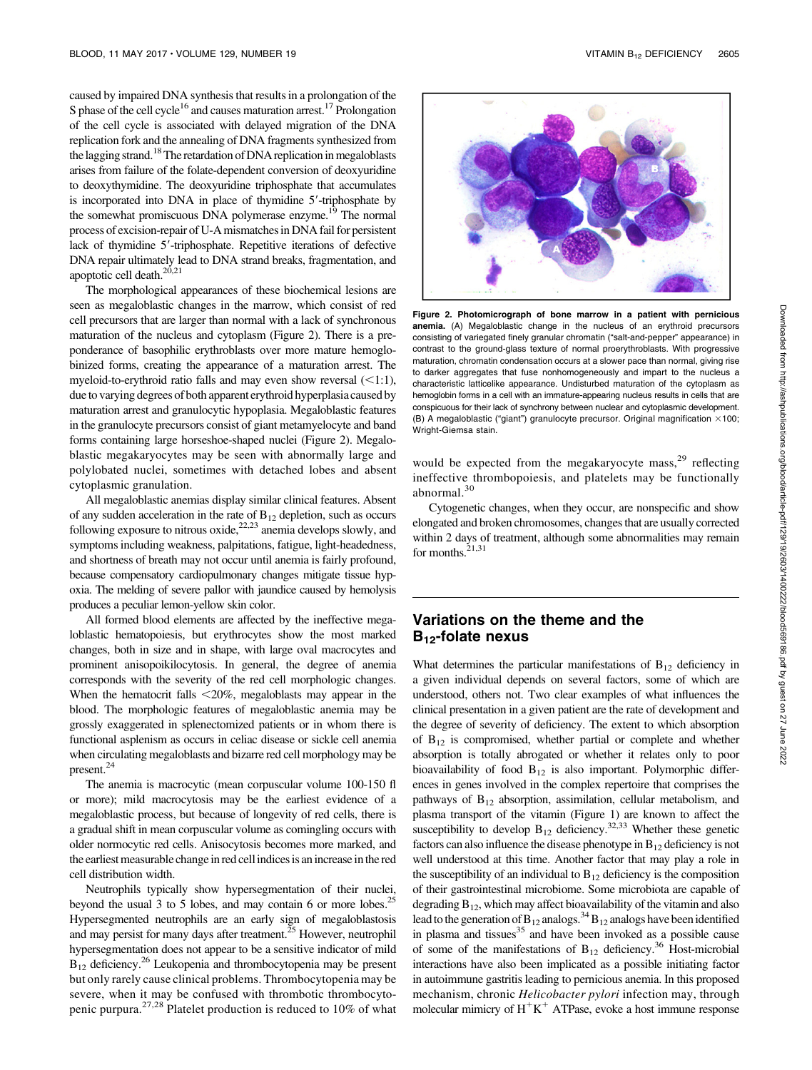caused by impaired DNA synthesis that results in a prolongation of the S phase of the cell cycle<sup>16</sup> and causes maturation arrest.<sup>17</sup> Prolongation of the cell cycle is associated with delayed migration of the DNA replication fork and the annealing of DNA fragments synthesized from the lagging strand.<sup>18</sup> The retardation of DNA replication in megaloblasts arises from failure of the folate-dependent conversion of deoxyuridine to deoxythymidine. The deoxyuridine triphosphate that accumulates is incorporated into DNA in place of thymidine 5'-triphosphate by the somewhat promiscuous DNA polymerase enzyme.<sup>19</sup> The normal process of excision-repair of U-A mismatches in DNA fail for persistent lack of thymidine 5'-triphosphate. Repetitive iterations of defective DNA repair ultimately lead to DNA strand breaks, fragmentation, and apoptotic cell death.<sup>20,21</sup>

The morphological appearances of these biochemical lesions are seen as megaloblastic changes in the marrow, which consist of red cell precursors that are larger than normal with a lack of synchronous maturation of the nucleus and cytoplasm (Figure 2). There is a preponderance of basophilic erythroblasts over more mature hemoglobinized forms, creating the appearance of a maturation arrest. The myeloid-to-erythroid ratio falls and may even show reversal  $(\leq 1:1)$ , due to varying degrees of both apparent erythroid hyperplasia caused by maturation arrest and granulocytic hypoplasia. Megaloblastic features in the granulocyte precursors consist of giant metamyelocyte and band forms containing large horseshoe-shaped nuclei (Figure 2). Megaloblastic megakaryocytes may be seen with abnormally large and polylobated nuclei, sometimes with detached lobes and absent cytoplasmic granulation.

All megaloblastic anemias display similar clinical features. Absent of any sudden acceleration in the rate of  $B_{12}$  depletion, such as occurs following exposure to nitrous oxide,  $22,23$  anemia develops slowly, and symptoms including weakness, palpitations, fatigue, light-headedness, and shortness of breath may not occur until anemia is fairly profound, because compensatory cardiopulmonary changes mitigate tissue hypoxia. The melding of severe pallor with jaundice caused by hemolysis produces a peculiar lemon-yellow skin color.

All formed blood elements are affected by the ineffective megaloblastic hematopoiesis, but erythrocytes show the most marked changes, both in size and in shape, with large oval macrocytes and prominent anisopoikilocytosis. In general, the degree of anemia corresponds with the severity of the red cell morphologic changes. When the hematocrit falls  $\langle 20\% \rangle$ , megaloblasts may appear in the blood. The morphologic features of megaloblastic anemia may be grossly exaggerated in splenectomized patients or in whom there is functional asplenism as occurs in celiac disease or sickle cell anemia when circulating megaloblasts and bizarre red cell morphology may be present.<sup>24</sup>

The anemia is macrocytic (mean corpuscular volume 100-150 fl or more); mild macrocytosis may be the earliest evidence of a megaloblastic process, but because of longevity of red cells, there is a gradual shift in mean corpuscular volume as comingling occurs with older normocytic red cells. Anisocytosis becomes more marked, and the earliest measurable change in red cellindices is an increase inthe red cell distribution width.

Neutrophils typically show hypersegmentation of their nuclei, beyond the usual 3 to 5 lobes, and may contain 6 or more lobes.<sup>25</sup> Hypersegmented neutrophils are an early sign of megaloblastosis and may persist for many days after treatment.<sup>25</sup> However, neutrophil hypersegmentation does not appear to be a sensitive indicator of mild  $B_{12}$  deficiency.<sup>26</sup> Leukopenia and thrombocytopenia may be present but only rarely cause clinical problems. Thrombocytopenia may be severe, when it may be confused with thrombotic thrombocytopenic purpura.27,28 Platelet production is reduced to 10% of what

would be expected from the megakaryocyte mass,<sup>29</sup> reflecting ineffective thrombopoiesis, and platelets may be functionally abnormal.<sup>30</sup>

Cytogenetic changes, when they occur, are nonspecific and show elongated and broken chromosomes, changes that are usually corrected within 2 days of treatment, although some abnormalities may remain for months. $^{21,31}$ 

# Variations on the theme and the  $B_{12}$ -folate nexus

Wright-Giemsa stain.

What determines the particular manifestations of  $B_{12}$  deficiency in a given individual depends on several factors, some of which are understood, others not. Two clear examples of what influences the clinical presentation in a given patient are the rate of development and the degree of severity of deficiency. The extent to which absorption of B12 is compromised, whether partial or complete and whether absorption is totally abrogated or whether it relates only to poor bioavailability of food  $B_{12}$  is also important. Polymorphic differences in genes involved in the complex repertoire that comprises the pathways of  $B_{12}$  absorption, assimilation, cellular metabolism, and plasma transport of the vitamin (Figure 1) are known to affect the susceptibility to develop  $B_{12}$  deficiency.<sup>32,33</sup> Whether these genetic factors can also influence the disease phenotype in  $B_{12}$  deficiency is not well understood at this time. Another factor that may play a role in the susceptibility of an individual to  $B_{12}$  deficiency is the composition of their gastrointestinal microbiome. Some microbiota are capable of degrading  $B_{12}$ , which may affect bioavailability of the vitamin and also lead to the generation of  $B_{12}$  analogs.<sup>34</sup>  $B_{12}$  analogs have been identified in plasma and tissues<sup>35</sup> and have been invoked as a possible cause of some of the manifestations of  $B_{12}$  deficiency.<sup>36</sup> Host-microbial interactions have also been implicated as a possible initiating factor in autoimmune gastritis leading to pernicious anemia. In this proposed mechanism, chronic Helicobacter pylori infection may, through molecular mimicry of  $H^+K^+$  ATPase, evoke a host immune response



anemia. (A) Megaloblastic change in the nucleus of an erythroid precursors consisting of variegated finely granular chromatin ("salt-and-pepper" appearance) in contrast to the ground-glass texture of normal proerythroblasts. With progressive maturation, chromatin condensation occurs at a slower pace than normal, giving rise to darker aggregates that fuse nonhomogeneously and impart to the nucleus a characteristic latticelike appearance. Undisturbed maturation of the cytoplasm as hemoglobin forms in a cell with an immature-appearing nucleus results in cells that are conspicuous for their lack of synchrony between nuclear and cytoplasmic development. (B) A megaloblastic ("giant") granulocyte precursor. Original magnification  $\times$ 100;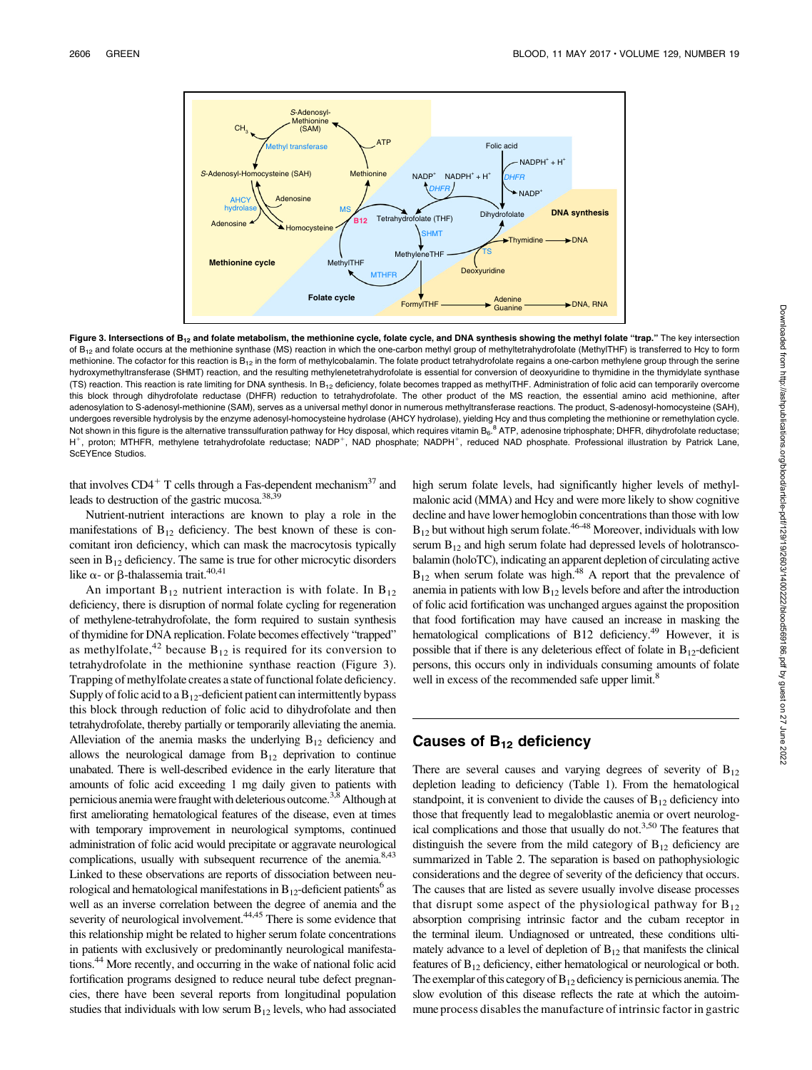

Figure 3. Intersections of B<sub>12</sub> and folate metabolism, the methionine cycle, folate cycle, and DNA synthesis showing the methyl folate "trap." The key intersection of  $B_{12}$  and folate occurs at the methionine synthase (MS) reaction in which the one-carbon methyl group of methyltetrahydrofolate (MethyITHF) is transferred to Hcy to form methionine. The cofactor for this reaction is  $B_{12}$  in the form of methylcobalamin. The folate product tetrahydrofolate regains a one-carbon methylene group through the serine hydroxymethyltransferase (SHMT) reaction, and the resulting methylenetetrahydrofolate is essential for conversion of deoxyuridine to thymidine in the thymidylate synthase (TS) reaction. This reaction is rate limiting for DNA synthesis. In B<sub>12</sub> deficiency, folate becomes trapped as methyITHF. Administration of folic acid can temporarily overcome this block through dihydrofolate reductase (DHFR) reduction to tetrahydrofolate. The other product of the MS reaction, the essential amino acid methionine, after adenosylation to S-adenosyl-methionine (SAM), serves as a universal methyl donor in numerous methyltransferase reactions. The product, S-adenosyl-homocysteine (SAH), undergoes reversible hydrolysis by the enzyme adenosyl-homocysteine hydrolase (AHCY hydrolase), yielding Hcy and thus completing the methionine or remethylation cycle. Not shown in this figure is the alternative transsulfuration pathway for Hcy disposal, which requires vitamin B<sub>6</sub>.<sup>8</sup> ATP, adenosine triphosphate; DHFR, dihydrofolate reductase; H<sup>+</sup>, proton; MTHFR, methylene tetrahydrofolate reductase; NADP<sup>+</sup>, NAD phosphate; NADPH<sup>+</sup>, reduced NAD phosphate. Professional illustration by Patrick Lane, ScEYEnce Studios.

that involves  $CD4^+$  T cells through a Fas-dependent mechanism<sup>37</sup> and leads to destruction of the gastric mucosa.38,39

Nutrient-nutrient interactions are known to play a role in the manifestations of  $B_{12}$  deficiency. The best known of these is concomitant iron deficiency, which can mask the macrocytosis typically seen in  $B_{12}$  deficiency. The same is true for other microcytic disorders like  $\alpha$ - or  $\beta$ -thalassemia trait.<sup>40,41</sup>

An important  $B_{12}$  nutrient interaction is with folate. In  $B_{12}$ deficiency, there is disruption of normal folate cycling for regeneration of methylene-tetrahydrofolate, the form required to sustain synthesis of thymidine for DNA replication. Folate becomes effectively "trapped" as methylfolate,<sup>42</sup> because  $B_{12}$  is required for its conversion to tetrahydrofolate in the methionine synthase reaction (Figure 3). Trapping of methylfolate creates a state of functional folate deficiency. Supply of folic acid to a  $B_{12}$ -deficient patient can intermittently bypass this block through reduction of folic acid to dihydrofolate and then tetrahydrofolate, thereby partially or temporarily alleviating the anemia. Alleviation of the anemia masks the underlying  $B_{12}$  deficiency and allows the neurological damage from  $B_{12}$  deprivation to continue unabated. There is well-described evidence in the early literature that amounts of folic acid exceeding 1 mg daily given to patients with pernicious anemia were fraught with deleterious outcome.<sup>3,8</sup> Although at first ameliorating hematological features of the disease, even at times with temporary improvement in neurological symptoms, continued administration of folic acid would precipitate or aggravate neurological complications, usually with subsequent recurrence of the anemia.<sup>8,43</sup> Linked to these observations are reports of dissociation between neurological and hematological manifestations in  $B_{12}$ -deficient patients<sup>6</sup> as well as an inverse correlation between the degree of anemia and the severity of neurological involvement.<sup>44,45</sup> There is some evidence that this relationship might be related to higher serum folate concentrations in patients with exclusively or predominantly neurological manifestations.44 More recently, and occurring in the wake of national folic acid fortification programs designed to reduce neural tube defect pregnancies, there have been several reports from longitudinal population studies that individuals with low serum  $B_{12}$  levels, who had associated

high serum folate levels, had significantly higher levels of methylmalonic acid (MMA) and Hcy and were more likely to show cognitive decline and have lower hemoglobin concentrations than those with low  $B_{12}$  but without high serum folate.<sup>46-48</sup> Moreover, individuals with low serum  $B_{12}$  and high serum folate had depressed levels of holotranscobalamin (holoTC), indicating an apparent depletion of circulating active  $B_{12}$  when serum folate was high.<sup>48</sup> A report that the prevalence of anemia in patients with low  $B_{12}$  levels before and after the introduction of folic acid fortification was unchanged argues against the proposition that food fortification may have caused an increase in masking the hematological complications of B12 deficiency.<sup>49</sup> However, it is possible that if there is any deleterious effect of folate in  $B_{12}$ -deficient persons, this occurs only in individuals consuming amounts of folate well in excess of the recommended safe upper limit.<sup>8</sup>

# Causes of  $B_{12}$  deficiency

There are several causes and varying degrees of severity of  $B_{12}$ depletion leading to deficiency (Table 1). From the hematological standpoint, it is convenient to divide the causes of  $B_{12}$  deficiency into those that frequently lead to megaloblastic anemia or overt neurological complications and those that usually do not.<sup>3,50</sup> The features that distinguish the severe from the mild category of  $B_{12}$  deficiency are summarized in Table 2. The separation is based on pathophysiologic considerations and the degree of severity of the deficiency that occurs. The causes that are listed as severe usually involve disease processes that disrupt some aspect of the physiological pathway for  $B_{12}$ absorption comprising intrinsic factor and the cubam receptor in the terminal ileum. Undiagnosed or untreated, these conditions ultimately advance to a level of depletion of  $B_{12}$  that manifests the clinical features of B12 deficiency, either hematological or neurological or both. The exemplar of this category of  $B_{12}$  deficiency is pernicious anemia. The slow evolution of this disease reflects the rate at which the autoimmune process disables the manufacture of intrinsic factor in gastric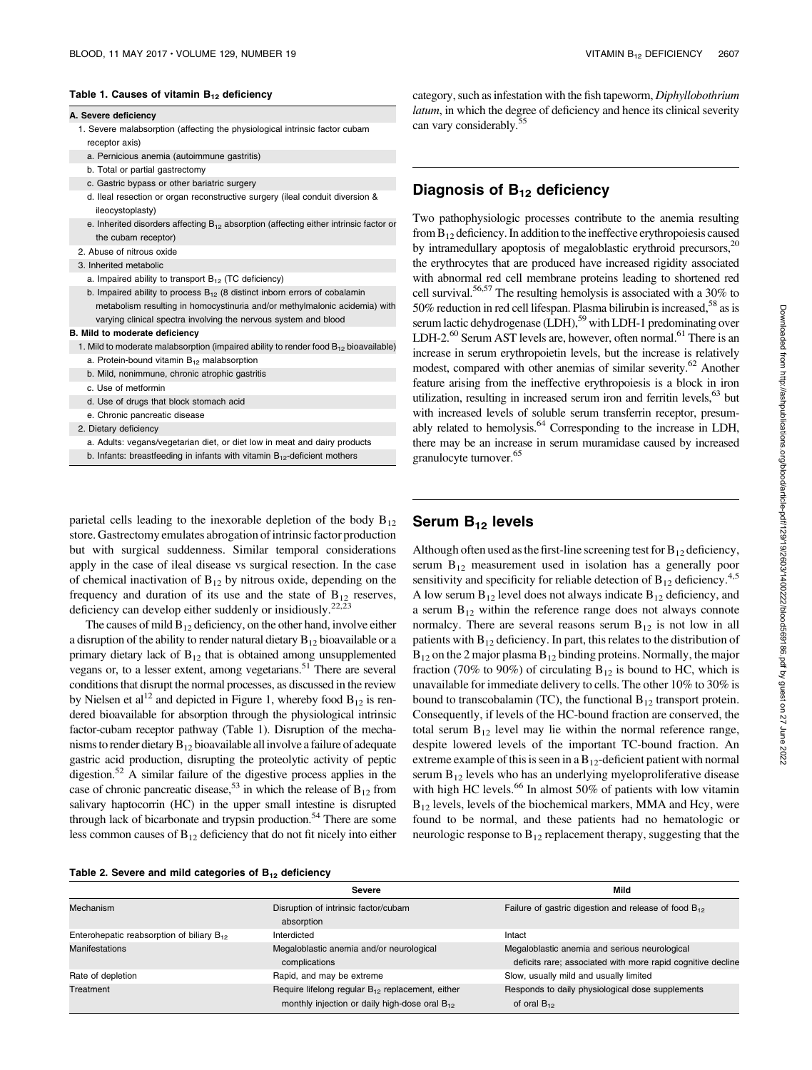#### Table 1. Causes of vitamin  $B_{12}$  deficiency

#### A. Severe deficiency

- 1. Severe malabsorption (affecting the physiological intrinsic factor cubam receptor axis)
- a. Pernicious anemia (autoimmune gastritis)
- b. Total or partial gastrectomy
- c. Gastric bypass or other bariatric surgery
- d. Ileal resection or organ reconstructive surgery (ileal conduit diversion & ileocystoplasty)
- e. Inherited disorders affecting  $B_{12}$  absorption (affecting either intrinsic factor or the cubam receptor)
- 2. Abuse of nitrous oxide
- 3. Inherited metabolic
- a. Impaired ability to transport  $B_{12}$  (TC deficiency)
- b. Impaired ability to process  $B_{12}$  (8 distinct inborn errors of cobalamin metabolism resulting in homocystinuria and/or methylmalonic acidemia) with varying clinical spectra involving the nervous system and blood

#### B. Mild to moderate deficiency

- 1. Mild to moderate malabsorption (impaired ability to render food  $B_{12}$  bioavailable)
	- a. Protein-bound vitamin  $B_{12}$  malabsorption
	- b. Mild, nonimmune, chronic atrophic gastritis
	- c. Use of metformin
	- d. Use of drugs that block stomach acid
	- e. Chronic pancreatic disease
- 2. Dietary deficiency
	- a. Adults: vegans/vegetarian diet, or diet low in meat and dairy products
	- b. Infants: breastfeeding in infants with vitamin  $B_{12}$ -deficient mothers

parietal cells leading to the inexorable depletion of the body  $B_{12}$ store. Gastrectomy emulates abrogation of intrinsic factor production but with surgical suddenness. Similar temporal considerations apply in the case of ileal disease vs surgical resection. In the case of chemical inactivation of  $B_{12}$  by nitrous oxide, depending on the frequency and duration of its use and the state of  $B_{12}$  reserves, deficiency can develop either suddenly or insidiously.<sup>22,23</sup>

The causes of mild  $B_{12}$  deficiency, on the other hand, involve either a disruption of the ability to render natural dietary  $B_{12}$  bioavailable or a primary dietary lack of  $B_{12}$  that is obtained among unsupplemented vegans or, to a lesser extent, among vegetarians.<sup>51</sup> There are several conditions that disrupt the normal processes, as discussed in the review by Nielsen et al<sup>12</sup> and depicted in Figure 1, whereby food  $B_{12}$  is rendered bioavailable for absorption through the physiological intrinsic factor-cubam receptor pathway (Table 1). Disruption of the mechanisms to render dietary  $B_{12}$  bioavailable all involve a failure of adequate gastric acid production, disrupting the proteolytic activity of peptic digestion.<sup>52</sup> A similar failure of the digestive process applies in the case of chronic pancreatic disease,<sup>53</sup> in which the release of B<sub>12</sub> from salivary haptocorrin (HC) in the upper small intestine is disrupted through lack of bicarbonate and trypsin production.<sup>54</sup> There are some less common causes of  $B_{12}$  deficiency that do not fit nicely into either

| Table 2. Severe and mild categories of $B_{12}$ deficiency |  |  |
|------------------------------------------------------------|--|--|
|------------------------------------------------------------|--|--|

|                                                | <b>Severe</b>                                                                                               | Mild                                                                                                         |
|------------------------------------------------|-------------------------------------------------------------------------------------------------------------|--------------------------------------------------------------------------------------------------------------|
| Mechanism                                      | Disruption of intrinsic factor/cubam<br>absorption                                                          | Failure of gastric digestion and release of food $B_{12}$                                                    |
| Enterohepatic reabsorption of biliary $B_{12}$ | Interdicted                                                                                                 | Intact                                                                                                       |
| Manifestations                                 | Megaloblastic anemia and/or neurological<br>complications                                                   | Megaloblastic anemia and serious neurological<br>deficits rare; associated with more rapid cognitive decline |
| Rate of depletion                              | Rapid, and may be extreme                                                                                   | Slow, usually mild and usually limited                                                                       |
| Treatment                                      | Require lifelong regular $B_{12}$ replacement, either<br>monthly injection or daily high-dose oral $B_{12}$ | Responds to daily physiological dose supplements<br>of oral $B_{12}$                                         |

category, such as infestation with the fish tapeworm, Diphyllobothrium latum, in which the degree of deficiency and hence its clinical severity can vary considerably.<sup>55</sup>

# Diagnosis of  $B_{12}$  deficiency

Two pathophysiologic processes contribute to the anemia resulting from B12 deficiency. In addition to the ineffective erythropoiesis caused by intramedullary apoptosis of megaloblastic erythroid precursors,<sup>20</sup> the erythrocytes that are produced have increased rigidity associated with abnormal red cell membrane proteins leading to shortened red cell survival.56,57 The resulting hemolysis is associated with a 30% to 50% reduction in red cell lifespan. Plasma bilirubin is increased,<sup>58</sup> as is serum lactic dehydrogenase  $(LDH)$ ,<sup>59</sup> with LDH-1 predominating over LDH-2. $^{60}$  Serum AST levels are, however, often normal.<sup>61</sup> There is an increase in serum erythropoietin levels, but the increase is relatively modest, compared with other anemias of similar severity.<sup>62</sup> Another feature arising from the ineffective erythropoiesis is a block in iron utilization, resulting in increased serum iron and ferritin levels,<sup>63</sup> but with increased levels of soluble serum transferrin receptor, presumably related to hemolysis.64 Corresponding to the increase in LDH, there may be an increase in serum muramidase caused by increased granulocyte turnover.<sup>65</sup>

# Serum  $B_{12}$  levels

Although often used as the first-line screening test for  $B_{12}$  deficiency, serum  $B_{12}$  measurement used in isolation has a generally poor sensitivity and specificity for reliable detection of  $B_{12}$  deficiency.<sup>4,5</sup> A low serum  $B_{12}$  level does not always indicate  $B_{12}$  deficiency, and a serum  $B_{12}$  within the reference range does not always connote normalcy. There are several reasons serum  $B_{12}$  is not low in all patients with  $B_{12}$  deficiency. In part, this relates to the distribution of  $B_{12}$  on the 2 major plasma  $B_{12}$  binding proteins. Normally, the major fraction (70% to 90%) of circulating  $B_{12}$  is bound to HC, which is unavailable for immediate delivery to cells. The other 10% to 30% is bound to transcobalamin (TC), the functional  $B_{12}$  transport protein. Consequently, if levels of the HC-bound fraction are conserved, the total serum  $B_{12}$  level may lie within the normal reference range, despite lowered levels of the important TC-bound fraction. An extreme example of this is seen in a  $B_{12}$ -deficient patient with normal serum  $B_{12}$  levels who has an underlying myeloproliferative disease with high HC levels.<sup>66</sup> In almost 50% of patients with low vitamin  $B_{12}$  levels, levels of the biochemical markers, MMA and Hcy, were found to be normal, and these patients had no hematologic or neurologic response to  $B_{12}$  replacement therapy, suggesting that the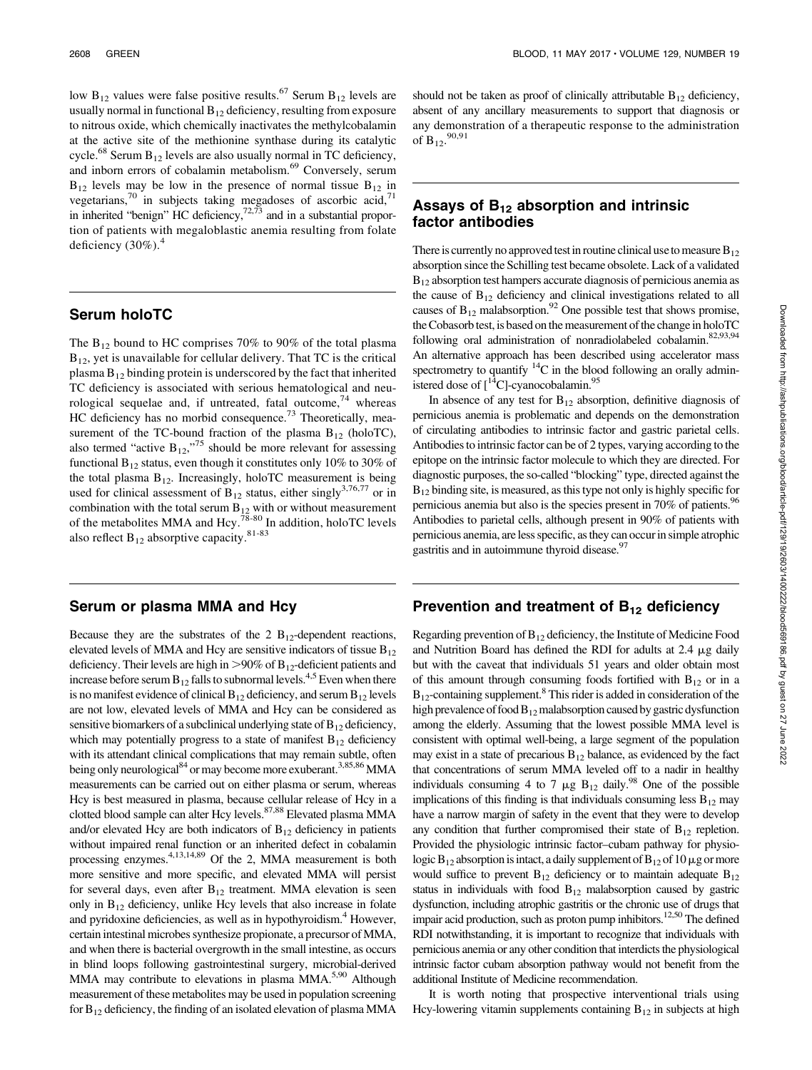low  $B_{12}$  values were false positive results.<sup>67</sup> Serum  $B_{12}$  levels are usually normal in functional  $B_{12}$  deficiency, resulting from exposure to nitrous oxide, which chemically inactivates the methylcobalamin at the active site of the methionine synthase during its catalytic cycle.<sup>68</sup> Serum  $B_{12}$  levels are also usually normal in TC deficiency, and inborn errors of cobalamin metabolism.<sup>69</sup> Conversely, serum  $B_{12}$  levels may be low in the presence of normal tissue  $B_{12}$  in vegetarians,<sup>70</sup> in subjects taking megadoses of ascorbic acid,<sup>7</sup> in inherited "benign" HC deficiency, $72,73$  and in a substantial proportion of patients with megaloblastic anemia resulting from folate deficiency  $(30\%)$ .<sup>4</sup>

### Serum holoTC

The  $B_{12}$  bound to HC comprises 70% to 90% of the total plasma  $B_{12}$ , yet is unavailable for cellular delivery. That TC is the critical plasma  $B_{12}$  binding protein is underscored by the fact that inherited TC deficiency is associated with serious hematological and neurological sequelae and, if untreated, fatal outcome, $44$  whereas HC deficiency has no morbid consequence.<sup>73</sup> Theoretically, measurement of the TC-bound fraction of the plasma  $B_{12}$  (holoTC), also termed "active  $B_{12}$ ,"<sup>75</sup> should be more relevant for assessing functional  $B_{12}$  status, even though it constitutes only 10% to 30% of the total plasma  $B_{12}$ . Increasingly, holoTC measurement is being used for clinical assessment of  $B_{12}$  status, either singly<sup>3,76,77</sup> or in combination with the total serum  $B_{12}$  with or without measurement of the metabolites MMA and Hcy.<sup>78-80</sup> In addition, holoTC levels also reflect  $B_{12}$  absorptive capacity.<sup>81-83</sup>

# Serum or plasma MMA and Hcy

Because they are the substrates of the 2  $B_{12}$ -dependent reactions, elevated levels of MMA and Hcy are sensitive indicators of tissue  $B_{12}$ deficiency. Their levels are high in  $>90\%$  of B<sub>12</sub>-deficient patients and increase before serum  $B_{12}$  falls to subnormal levels.<sup>4,5</sup> Even when there is no manifest evidence of clinical  $B_{12}$  deficiency, and serum  $B_{12}$  levels are not low, elevated levels of MMA and Hcy can be considered as sensitive biomarkers of a subclinical underlying state of  $B_{12}$  deficiency, which may potentially progress to a state of manifest  $B_{12}$  deficiency with its attendant clinical complications that may remain subtle, often being only neurological<sup>84</sup> or may become more exuberant.<sup>3,85,86</sup> MMA measurements can be carried out on either plasma or serum, whereas Hcy is best measured in plasma, because cellular release of Hcy in a clotted blood sample can alter Hcy levels.<sup>87,88</sup> Elevated plasma MMA and/or elevated Hcy are both indicators of  $B_{12}$  deficiency in patients without impaired renal function or an inherited defect in cobalamin processing enzymes.4,13,14,89 Of the 2, MMA measurement is both more sensitive and more specific, and elevated MMA will persist for several days, even after  $B_{12}$  treatment. MMA elevation is seen only in  $B_{12}$  deficiency, unlike Hcy levels that also increase in folate and pyridoxine deficiencies, as well as in hypothyroidism.<sup>4</sup> However, certain intestinal microbes synthesize propionate, a precursor of MMA, and when there is bacterial overgrowth in the small intestine, as occurs in blind loops following gastrointestinal surgery, microbial-derived MMA may contribute to elevations in plasma MMA.<sup>5,90</sup> Although measurement of these metabolites may be used in population screening for  $B_{12}$  deficiency, the finding of an isolated elevation of plasma MMA

should not be taken as proof of clinically attributable  $B_{12}$  deficiency, absent of any ancillary measurements to support that diagnosis or any demonstration of a therapeutic response to the administration of  $B_{12}$ <sup>90,91</sup>

# Assays of  $B_{12}$  absorption and intrinsic factor antibodies

There is currently no approved test in routine clinical use to measure  $B_{12}$ absorption since the Schilling test became obsolete. Lack of a validated  $B_{12}$  absorption test hampers accurate diagnosis of pernicious anemia as the cause of  $B_{12}$  deficiency and clinical investigations related to all causes of  $B_{12}$  malabsorption.<sup>92</sup> One possible test that shows promise, the Cobasorb test, is based on the measurement of the change in holoTC following oral administration of nonradiolabeled cobalamin.<sup>82,93,94</sup> An alternative approach has been described using accelerator mass spectrometry to quantify  ${}^{14}C$  in the blood following an orally administered dose of  $\int_0^{14}$ C]-cyanocobalamin.<sup>95</sup>

In absence of any test for  $B_{12}$  absorption, definitive diagnosis of pernicious anemia is problematic and depends on the demonstration of circulating antibodies to intrinsic factor and gastric parietal cells. Antibodies to intrinsic factor can be of 2 types, varying according to the epitope on the intrinsic factor molecule to which they are directed. For diagnostic purposes, the so-called "blocking" type, directed against the  $B_{12}$  binding site, is measured, as this type not only is highly specific for pernicious anemia but also is the species present in 70% of patients.<sup>96</sup> Antibodies to parietal cells, although present in 90% of patients with pernicious anemia, are less specific, as they can occur in simple atrophic gastritis and in autoimmune thyroid disease.<sup>97</sup>

# Prevention and treatment of  $B_{12}$  deficiency

Regarding prevention of  $B_{12}$  deficiency, the Institute of Medicine Food and Nutrition Board has defined the RDI for adults at  $2.4 \mu g$  daily but with the caveat that individuals 51 years and older obtain most of this amount through consuming foods fortified with  $B_{12}$  or in a  $B_{12}$ -containing supplement.<sup>8</sup> This rider is added in consideration of the high prevalence of food  $B_{12}$  malabsorption caused by gastric dysfunction among the elderly. Assuming that the lowest possible MMA level is consistent with optimal well-being, a large segment of the population may exist in a state of precarious  $B_{12}$  balance, as evidenced by the fact that concentrations of serum MMA leveled off to a nadir in healthy individuals consuming 4 to 7  $\mu$ g B<sub>12</sub> daily.<sup>98</sup> One of the possible implications of this finding is that individuals consuming less  $B_{12}$  may have a narrow margin of safety in the event that they were to develop any condition that further compromised their state of  $B_{12}$  repletion. Provided the physiologic intrinsic factor–cubam pathway for physiologic  $B_{12}$  absorption is intact, a daily supplement of  $B_{12}$  of 10 µg or more would suffice to prevent  $B_{12}$  deficiency or to maintain adequate  $B_{12}$ status in individuals with food  $B_{12}$  malabsorption caused by gastric dysfunction, including atrophic gastritis or the chronic use of drugs that impair acid production, such as proton pump inhibitors.<sup>12,50</sup> The defined RDI notwithstanding, it is important to recognize that individuals with pernicious anemia or any other condition that interdicts the physiological intrinsic factor cubam absorption pathway would not benefit from the additional Institute of Medicine recommendation.

It is worth noting that prospective interventional trials using Hcy-lowering vitamin supplements containing  $B_{12}$  in subjects at high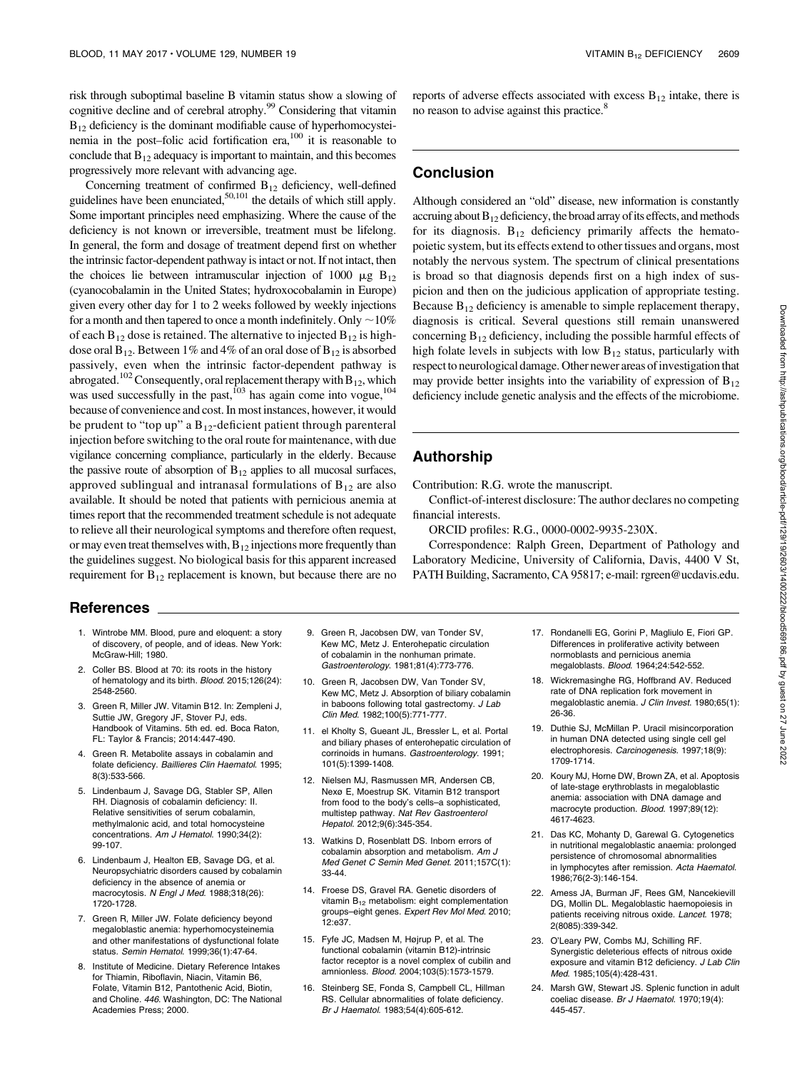risk through suboptimal baseline B vitamin status show a slowing of cognitive decline and of cerebral atrophy.<sup>99</sup> Considering that vitamin  $B_{12}$  deficiency is the dominant modifiable cause of hyperhomocysteinemia in the post–folic acid fortification  $era<sub>1</sub><sup>100</sup>$  it is reasonable to conclude that  $B_{12}$  adequacy is important to maintain, and this becomes progressively more relevant with advancing age.

Concerning treatment of confirmed  $B_{12}$  deficiency, well-defined guidelines have been enunciated,<sup>50,101</sup> the details of which still apply. Some important principles need emphasizing. Where the cause of the deficiency is not known or irreversible, treatment must be lifelong. In general, the form and dosage of treatment depend first on whether the intrinsic factor-dependent pathway is intact or not. If not intact, then the choices lie between intramuscular injection of 1000  $\mu$ g B<sub>12</sub> (cyanocobalamin in the United States; hydroxocobalamin in Europe) given every other day for 1 to 2 weeks followed by weekly injections for a month and then tapered to once a month indefinitely. Only  $\sim$  10% of each  $B_{12}$  dose is retained. The alternative to injected  $B_{12}$  is highdose oral  $B_{12}$ . Between 1% and 4% of an oral dose of  $B_{12}$  is absorbed passively, even when the intrinsic factor-dependent pathway is abrogated.<sup>102</sup> Consequently, oral replacement therapy with  $B_{12}$ , which was used successfully in the past,  $^{103}$  has again come into vogue,  $^{104}$ because of convenience and cost. In most instances, however, it would be prudent to "top up" a  $B_{12}$ -deficient patient through parenteral injection before switching to the oral route for maintenance, with due vigilance concerning compliance, particularly in the elderly. Because the passive route of absorption of  $B_{12}$  applies to all mucosal surfaces, approved sublingual and intranasal formulations of  $B_{12}$  are also available. It should be noted that patients with pernicious anemia at times report that the recommended treatment schedule is not adequate to relieve all their neurological symptoms and therefore often request, or may even treat themselves with,  $B_{12}$  injections more frequently than the guidelines suggest. No biological basis for this apparent increased requirement for  $B_{12}$  replacement is known, but because there are no

reports of adverse effects associated with excess  $B_{12}$  intake, there is no reason to advise against this practice.<sup>8</sup>

#### Conclusion

Although considered an "old" disease, new information is constantly accruing about  $B_{12}$  deficiency, the broad array of its effects, and methods for its diagnosis.  $B_{12}$  deficiency primarily affects the hematopoietic system, but its effects extend to other tissues and organs, most notably the nervous system. The spectrum of clinical presentations is broad so that diagnosis depends first on a high index of suspicion and then on the judicious application of appropriate testing. Because  $B_{12}$  deficiency is amenable to simple replacement therapy, diagnosis is critical. Several questions still remain unanswered concerning  $B_{12}$  deficiency, including the possible harmful effects of high folate levels in subjects with low  $B_{12}$  status, particularly with respect to neurological damage. Other newer areas of investigation that may provide better insights into the variability of expression of  $B_{12}$ deficiency include genetic analysis and the effects of the microbiome.

### Authorship

Contribution: R.G. wrote the manuscript.

Conflict-of-interest disclosure: The author declares no competing financial interests.

ORCID profiles: R.G., [0000-0002-9935-230X.](http://orcid.org/0000-0002-9935-230X)

Correspondence: Ralph Green, Department of Pathology and Laboratory Medicine, University of California, Davis, 4400 V St, PATH Building, Sacramento, CA 95817; e-mail: [rgreen@ucdavis.edu.](mailto:rgreen@ucdavis.edu)

# **References**

- 1. Wintrobe MM. Blood, pure and eloquent: a story of discovery, of people, and of ideas. New York: McGraw-Hill; 1980.
- 2. Coller BS. Blood at 70: its roots in the history of hematology and its birth. Blood. 2015;126(24): 2548-2560.
- 3. Green R, Miller JW. Vitamin B12. In: Zempleni J, Suttie JW, Gregory JF, Stover PJ, eds. Handbook of Vitamins. 5th ed. ed. Boca Raton, FL: Taylor & Francis; 2014:447-490.
- 4. Green R. Metabolite assays in cobalamin and folate deficiency. Baillieres Clin Haematol. 1995; 8(3):533-566.
- 5. Lindenbaum J, Savage DG, Stabler SP, Allen RH. Diagnosis of cobalamin deficiency: II. Relative sensitivities of serum cobalamin, methylmalonic acid, and total homocysteine concentrations. Am J Hematol. 1990;34(2): 99-107.
- 6. Lindenbaum J, Healton EB, Savage DG, et al. Neuropsychiatric disorders caused by cobalamin deficiency in the absence of anemia or macrocytosis. N Engl J Med. 1988;318(26): 1720-1728.
- 7. Green R, Miller JW. Folate deficiency beyond megaloblastic anemia: hyperhomocysteinemia and other manifestations of dysfunctional folate status. Semin Hematol. 1999;36(1):47-64.
- 8. Institute of Medicine. Dietary Reference Intakes for Thiamin, Riboflavin, Niacin, Vitamin B6, Folate, Vitamin B12, Pantothenic Acid, Biotin, and Choline. 446. Washington, DC: The National Academies Press; 2000.
- 9. Green R, Jacobsen DW, van Tonder SV, Kew MC, Metz J. Enterohepatic circulation of cobalamin in the nonhuman primate. Gastroenterology. 1981;81(4):773-776.
- 10. Green R, Jacobsen DW, Van Tonder SV, Kew MC, Metz J. Absorption of biliary cobalamin in baboons following total gastrectomy. J Lab Clin Med. 1982;100(5):771-777.
- 11. el Kholty S, Gueant JL, Bressler L, et al. Portal and biliary phases of enterohepatic circulation of corrinoids in humans. Gastroenterology. 1991; 101(5):1399-1408.
- 12. Nielsen MJ, Rasmussen MR, Andersen CB, Nexø E, Moestrup SK. Vitamin B12 transport from food to the body's cells–a sophisticated, multistep pathway. Nat Rev Gastroenterol Hepatol. 2012;9(6):345-354.
- 13. Watkins D, Rosenblatt DS. Inborn errors of cobalamin absorption and metabolism. Am J Med Genet C Semin Med Genet. 2011;157C(1): 33-44.
- 14. Froese DS, Gravel RA. Genetic disorders of vitamin B<sub>12</sub> metabolism: eight complementation groups-eight genes. Expert Rev Mol Med. 2010; 12:e37.
- 15. Fyfe JC, Madsen M, Højrup P, et al. The functional cobalamin (vitamin B12)-intrinsic factor receptor is a novel complex of cubilin and amnionless. Blood. 2004;103(5):1573-1579.
- 16. Steinberg SE, Fonda S, Campbell CL, Hillman RS. Cellular abnormalities of folate deficiency. Br J Haematol. 1983;54(4):605-612.
- 17. Rondanelli EG, Gorini P, Magliulo E, Fiori GP. Differences in proliferative activity between normoblasts and pernicious anemia megaloblasts. Blood. 1964;24:542-552.
- 18. Wickremasinghe RG, Hoffbrand AV. Reduced rate of DNA replication fork movement in megaloblastic anemia. J Clin Invest. 1980;65(1): 26-36.
- 19. Duthie SJ, McMillan P. Uracil misincorporation in human DNA detected using single cell gel electrophoresis. Carcinogenesis. 1997;18(9): 1709-1714.
- 20. Koury MJ, Horne DW, Brown ZA, et al. Apoptosis of late-stage erythroblasts in megaloblastic anemia: association with DNA damage and macrocyte production. Blood. 1997;89(12): 4617-4623.
- 21. Das KC, Mohanty D, Garewal G. Cytogenetics in nutritional megaloblastic anaemia: prolonged persistence of chromosomal abnormalities in lymphocytes after remission. Acta Haematol. 1986;76(2-3):146-154.
- 22. Amess JA, Burman JF, Rees GM, Nancekievill DG, Mollin DL. Megaloblastic haemopoiesis in patients receiving nitrous oxide. Lancet. 1978; 2(8085):339-342.
- 23. O'Leary PW, Combs MJ, Schilling RF. Synergistic deleterious effects of nitrous oxide exposure and vitamin B12 deficiency. J Lab Clin Med. 1985;105(4):428-431.
- Marsh GW, Stewart JS. Splenic function in adult coeliac disease. Br J Haematol. 1970;19(4): 445-457.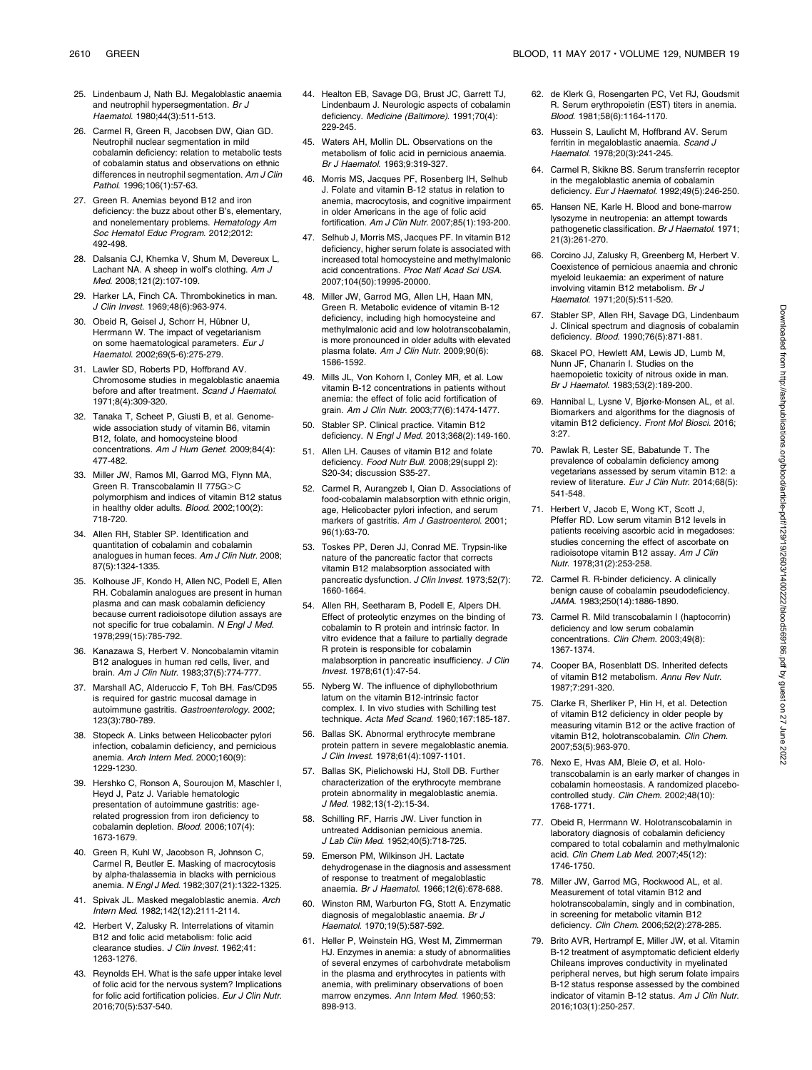- 25. Lindenbaum J, Nath BJ. Megaloblastic anaemia and neutrophil hypersegmentation. Br J Haematol. 1980;44(3):511-513.
- 26. Carmel R, Green R, Jacobsen DW, Qian GD. Neutrophil nuclear segmentation in mild cobalamin deficiency: relation to metabolic tests of cobalamin status and observations on ethnic differences in neutrophil segmentation. Am J Clin Pathol. 1996;106(1):57-63.
- 27. Green R. Anemias beyond B12 and iron deficiency: the buzz about other B's, elementary, and nonelementary problems. Hematology Am Soc Hematol Educ Program. 2012;2012: 492-498.
- 28. Dalsania CJ, Khemka V, Shum M, Devereux L, Lachant NA. A sheep in wolf's clothing. Am J Med. 2008;121(2):107-109.
- 29. Harker LA, Finch CA. Thrombokinetics in man. J Clin Invest. 1969;48(6):963-974.
- 30. Obeid R, Geisel J, Schorr H, Hübner U, Herrmann W. The impact of vegetarianism on some haematological parameters. Eur J Haematol. 2002;69(5-6):275-279.
- 31. Lawler SD, Roberts PD, Hoffbrand AV. Chromosome studies in megaloblastic anaemia before and after treatment. Scand J Haematol. 1971;8(4):309-320.
- 32. Tanaka T, Scheet P, Giusti B, et al. Genomewide association study of vitamin B6, vitamin B12, folate, and homocysteine blood concentrations. Am J Hum Genet. 2009;84(4): 477-482.
- 33. Miller JW, Ramos MI, Garrod MG, Flynn MA, Green R. Transcobalamin II 775G>C polymorphism and indices of vitamin B12 status in healthy older adults. Blood. 2002;100(2): 718-720.
- 34. Allen RH, Stabler SP. Identification and quantitation of cobalamin and cobalamin analogues in human feces. Am J Clin Nutr. 2008; 87(5):1324-1335.
- 35. Kolhouse JF, Kondo H, Allen NC, Podell E, Allen RH. Cobalamin analogues are present in human plasma and can mask cobalamin deficiency because current radioisotope dilution assays are not specific for true cobalamin. N Engl J Med. 1978;299(15):785-792.
- 36. Kanazawa S, Herbert V. Noncobalamin vitamin B12 analogues in human red cells, liver, and brain. Am J Clin Nutr. 1983;37(5):774-777.
- 37. Marshall AC, Alderuccio F, Toh BH. Fas/CD95 is required for gastric mucosal damage in autoimmune gastritis. Gastroenterology. 2002; 123(3):780-789.
- 38. Stopeck A. Links between Helicobacter pylori infection, cobalamin deficiency, and pernicious anemia. Arch Intern Med. 2000;160(9): 1229-1230.
- 39. Hershko C, Ronson A, Souroujon M, Maschler I, Heyd J, Patz J. Variable hematologic presentation of autoimmune gastritis: agerelated progression from iron deficiency to cobalamin depletion. Blood. 2006;107(4): 1673-1679.
- 40. Green R, Kuhl W, Jacobson R, Johnson C, Carmel R, Beutler E. Masking of macrocytosis by alpha-thalassemia in blacks with pernicious anemia. N Engl J Med. 1982;307(21):1322-1325.
- 41. Spivak JL. Masked megaloblastic anemia. Arch Intern Med. 1982;142(12):2111-2114.
- 42. Herbert V, Zalusky R. Interrelations of vitamin B12 and folic acid metabolism: folic acid clearance studies. J Clin Invest. 1962;41: 1263-1276.
- 43. Reynolds EH. What is the safe upper intake level of folic acid for the nervous system? Implications for folic acid fortification policies. Eur J Clin Nutr. 2016;70(5):537-540.
- 44. Healton EB, Savage DG, Brust JC, Garrett TJ, Lindenbaum J. Neurologic aspects of cobalamin deficiency. Medicine (Baltimore). 1991;70(4): 229-245.
- 45. Waters AH, Mollin DL. Observations on the metabolism of folic acid in pernicious anaemia. Br J Haematol. 1963;9:319-327.
- 46. Morris MS, Jacques PF, Rosenberg IH, Selhub J. Folate and vitamin B-12 status in relation to anemia, macrocytosis, and cognitive impairment in older Americans in the age of folic acid fortification. Am J Clin Nutr. 2007;85(1):193-200.
- 47. Selhub J, Morris MS, Jacques PF. In vitamin B12 deficiency, higher serum folate is associated with increased total homocysteine and methylmalonic acid concentrations. Proc Natl Acad Sci USA. 2007;104(50):19995-20000.
- 48. Miller JW, Garrod MG, Allen LH, Haan MN, Green R. Metabolic evidence of vitamin B-12 deficiency, including high homocysteine and methylmalonic acid and low holotranscobalamin, is more pronounced in older adults with elevated plasma folate. Am J Clin Nutr. 2009;90(6): 1586-1592.
- 49. Mills JL, Von Kohorn I, Conley MR, et al. Low vitamin B-12 concentrations in patients without anemia: the effect of folic acid fortification of grain. Am J Clin Nutr. 2003;77(6):1474-1477.
- 50. Stabler SP. Clinical practice. Vitamin B12 deficiency. N Engl J Med. 2013;368(2):149-160.
- 51. Allen LH. Causes of vitamin B12 and folate deficiency. Food Nutr Bull. 2008;29(suppl 2): S20-34; discussion S35-27.
- 52. Carmel R, Aurangzeb I, Qian D. Associations of food-cobalamin malabsorption with ethnic origin, age, Helicobacter pylori infection, and serum markers of gastritis. Am J Gastroenterol. 2001; 96(1):63-70.
- 53. Toskes PP, Deren JJ, Conrad ME. Trypsin-like nature of the pancreatic factor that corrects vitamin B12 malabsorption associated with pancreatic dysfunction. J Clin Invest. 1973;52(7): 1660-1664.
- 54. Allen RH, Seetharam B, Podell E, Alpers DH. Effect of proteolytic enzymes on the binding of cobalamin to R protein and intrinsic factor. In vitro evidence that a failure to partially degrade R protein is responsible for cobalamin malabsorption in pancreatic insufficiency. J Clin Invest. 1978;61(1):47-54.
- 55. Nyberg W. The influence of diphyllobothrium latum on the vitamin B12-intrinsic factor complex. I. In vivo studies with Schilling test technique. Acta Med Scand. 1960;167:185-187.
- 56. Ballas SK. Abnormal erythrocyte membrane protein pattern in severe megaloblastic anemia. J Clin Invest. 1978;61(4):1097-1101.
- 57. Ballas SK, Pielichowski HJ, Stoll DB. Further characterization of the erythrocyte membrane protein abnormality in megaloblastic anemia. J Med. 1982;13(1-2):15-34.
- 58. Schilling RF, Harris JW. Liver function in untreated Addisonian pernicious anemia. J Lab Clin Med. 1952;40(5):718-725.
- 59. Emerson PM, Wilkinson JH. Lactate dehydrogenase in the diagnosis and assessment of response to treatment of megaloblastic anaemia. Br J Haematol. 1966;12(6):678-688.
- 60. Winston RM, Warburton FG, Stott A. Enzymatic diagnosis of megaloblastic anaemia. Br J Haematol. 1970;19(5):587-592.
- 61. Heller P, Weinstein HG, West M, Zimmerman HJ. Enzymes in anemia: a study of abnormalities of several enzymes of carbohvdrate metabolism in the plasma and erythrocytes in patients with anemia, with preliminary observations of boen marrow enzymes. Ann Intern Med. 1960;53: 898-913.
- 62. de Klerk G, Rosengarten PC, Vet RJ, Goudsmit R. Serum erythropoietin (EST) titers in anemia. Blood. 1981;58(6):1164-1170.
- 63. Hussein S, Laulicht M, Hoffbrand AV. Serum ferritin in megaloblastic anaemia. Scand J Haematol. 1978;20(3):241-245.
- 64. Carmel R, Skikne BS. Serum transferrin receptor in the megaloblastic anemia of cobalamin deficiency. Eur J Haematol. 1992;49(5):246-250.
- 65. Hansen NE, Karle H. Blood and bone-marrow lysozyme in neutropenia: an attempt towards pathogenetic classification. Br J Haematol. 1971; 21(3):261-270.
- 66. Corcino JJ, Zalusky R, Greenberg M, Herbert V. Coexistence of pernicious anaemia and chronic myeloid leukaemia: an experiment of nature involving vitamin B12 metabolism. Br J Haematol. 1971;20(5):511-520.
- 67. Stabler SP, Allen RH, Savage DG, Lindenbaum J. Clinical spectrum and diagnosis of cobalamin deficiency. Blood. 1990;76(5):871-881.
- 68. Skacel PO, Hewlett AM, Lewis JD, Lumb M, Nunn JF, Chanarin I. Studies on the haemopoietic toxicity of nitrous oxide in man. Br J Haematol. 1983;53(2):189-200.
- 69. Hannibal L, Lysne V, Bjørke-Monsen AL, et al. Biomarkers and algorithms for the diagnosis of vitamin B12 deficiency. Front Mol Biosci. 2016; 3:27.
- 70. Pawlak R, Lester SE, Babatunde T. The prevalence of cobalamin deficiency among vegetarians assessed by serum vitamin B12: a review of literature. Eur J Clin Nutr. 2014;68(5): 541-548.
- 71. Herbert V, Jacob E, Wong KT, Scott J, Pfeffer RD. Low serum vitamin B12 levels in patients receiving ascorbic acid in megadoses: studies concerning the effect of ascorbate on radioisotope vitamin B12 assay. Am J Clin Nutr. 1978;31(2):253-258.
- 72. Carmel R. R-binder deficiency. A clinically benign cause of cobalamin pseudodeficiency. JAMA. 1983;250(14):1886-1890.
- 73. Carmel R. Mild transcobalamin I (haptocorrin) deficiency and low serum cobalamin concentrations. Clin Chem. 2003;49(8): 1367-1374.
- 74. Cooper BA, Rosenblatt DS. Inherited defects of vitamin B12 metabolism. Annu Rev Nutr. 1987;7:291-320.
- 75. Clarke R, Sherliker P, Hin H, et al. Detection of vitamin B12 deficiency in older people by measuring vitamin B12 or the active fraction of vitamin B12, holotranscobalamin. Clin Chem. 2007;53(5):963-970.
- 76. Nexo E, Hvas AM, Bleie Ø, et al. Holotranscobalamin is an early marker of changes in cobalamin homeostasis. A randomized placebocontrolled study. Clin Chem. 2002;48(10): 1768-1771.
- 77. Obeid R, Herrmann W. Holotranscobalamin in laboratory diagnosis of cobalamin deficiency compared to total cobalamin and methylmalonic acid. Clin Chem Lab Med. 2007;45(12): 1746-1750.
- 78. Miller JW, Garrod MG, Rockwood AL, et al. Measurement of total vitamin B12 and holotranscobalamin, singly and in combination, in screening for metabolic vitamin B12 deficiency. Clin Chem. 2006;52(2):278-285.
- 79. Brito AVR, Hertrampf E, Miller JW, et al. Vitamin B-12 treatment of asymptomatic deficient elderly Chileans improves conductivity in myelinated peripheral nerves, but high serum folate impairs B-12 status response assessed by the combined indicator of vitamin B-12 status. Am J Clin Nutr. 2016;103(1):250-257.